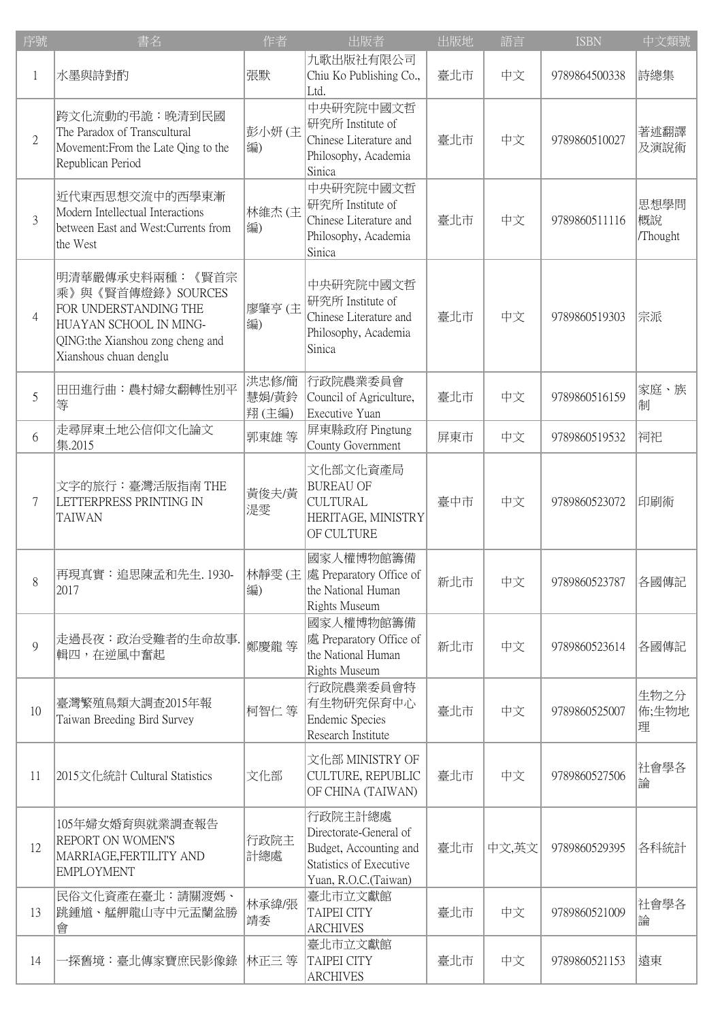| 序號             | 書名                                                                                                                                                    | 作者                      | 出版者                                                                                                            | 出版地 | 語言    | <b>ISBN</b>   | 中文類號                   |
|----------------|-------------------------------------------------------------------------------------------------------------------------------------------------------|-------------------------|----------------------------------------------------------------------------------------------------------------|-----|-------|---------------|------------------------|
| 1              | 水墨與詩對酌                                                                                                                                                | 張默                      | 九歌出版社有限公司<br>Chiu Ko Publishing Co.,<br>Ltd.                                                                   | 臺北市 | 中文    | 9789864500338 | 詩總集                    |
| $\mathbf{2}$   | 跨文化流動的弔詭:晚清到民國<br>The Paradox of Transcultural<br>Movement: From the Late Qing to the<br>Republican Period                                            | 彭小妍(主<br>編)             | 中央研究院中國文哲<br>研究所 Institute of<br>Chinese Literature and<br>Philosophy, Academia<br>Sinica                      | 臺北市 | 中文    | 9789860510027 | 著述翻譯<br>及演說術           |
| $\overline{3}$ | 近代東西思想交流中的西學東漸<br>Modern Intellectual Interactions<br>between East and West: Currents from<br>the West                                                | 林維杰 (主<br>編)            | 中央研究院中國文哲<br>研究所 Institute of<br>Chinese Literature and<br>Philosophy, Academia<br>Sinica                      | 臺北市 | 中文    | 9789860511116 | 思想學問<br>概說<br>/Thought |
| $\overline{4}$ | 明清華嚴傳承史料兩種:《賢首宗<br>乘》與《賢首傳燈錄》SOURCES<br>FOR UNDERSTANDING THE<br>HUAYAN SCHOOL IN MING-<br>QING:the Xianshou zong cheng and<br>Xianshous chuan denglu | 廖肇亨(主<br>編)             | 中央研究院中國文哲<br>研究所 Institute of<br>Chinese Literature and<br>Philosophy, Academia<br>Sinica                      | 臺北市 | 中文    | 9789860519303 | 宗派                     |
| 5              | 田田進行曲:農村婦女翻轉性別平<br>等                                                                                                                                  | 洪忠修/簡<br>慧娟/黃鈴<br>翔(主編) | 行政院農業委員會<br>Council of Agriculture,<br>Executive Yuan                                                          | 臺北市 | 中文    | 9789860516159 | 家庭、族<br>制              |
| 6              | 走尋屏東土地公信仰文化論文<br>集.2015                                                                                                                               | 郭東雄等                    | 屏東縣政府 Pingtung<br>County Government                                                                            | 屏東市 | 中文    | 9789860519532 | 祠祀                     |
| 7              | 文字的旅行:臺灣活版指南 THE<br>LETTERPRESS PRINTING IN<br><b>TAIWAN</b>                                                                                          | 黃俊夫/黃<br>湜雯             | 文化部文化資產局<br><b>BUREAU OF</b><br><b>CULTURAL</b><br>HERITAGE, MINISTRY<br>OF CULTURE                            | 臺中市 | 中文    | 9789860523072 | 印刷術                    |
| 8              | 再現真實:追思陳孟和先生. 1930-  林靜雯 (主  處 Preparatory Office of<br>2017                                                                                          | 編)                      | 國家人權博物館籌備<br>the National Human<br><b>Rights Museum</b>                                                        | 新北市 | 中文    | 9789860523787 | 各國傳記                   |
| 9              | 走過長夜:政治受難者的生命故事.<br> 輯四,在逆風中奮起                                                                                                                        | 鄭慶龍 等                   | 國家人權博物館籌備<br>處 Preparatory Office of<br>the National Human<br>Rights Museum                                    | 新北市 | 中文    | 9789860523614 | 各國傳記                   |
| 10             | 臺灣繁殖鳥類大調查2015年報<br>Taiwan Breeding Bird Survey                                                                                                        | 柯智仁等                    | 行政院農業委員會特<br>有生物研究保育中心<br><b>Endemic Species</b><br>Research Institute                                         | 臺北市 | 中文    | 9789860525007 | 生物之分<br>佈;生物地<br>理     |
| 11             | 2015文化統計 Cultural Statistics                                                                                                                          | 文化部                     | 文化部 MINISTRY OF<br>CULTURE, REPUBLIC<br>OF CHINA (TAIWAN)                                                      | 臺北市 | 中文    | 9789860527506 | 社會學各<br>論              |
| 12             | 105年婦女婚育與就業調查報告<br>REPORT ON WOMEN'S<br>MARRIAGE, FERTILITY AND<br><b>EMPLOYMENT</b>                                                                  | 行政院主<br>計總處             | 行政院主計總處<br>Directorate-General of<br>Budget, Accounting and<br>Statistics of Executive<br>Yuan, R.O.C.(Taiwan) | 臺北市 | 中文,英文 | 9789860529395 | 各科統計                   |
| 13             | 民俗文化資產在臺北:請關渡媽、<br>跳鍾馗、艋舺龍山寺中元盂蘭盆勝<br>會                                                                                                               | 林承緯/張<br>靖委             | 臺北市立文獻館<br><b>TAIPEI CITY</b><br><b>ARCHIVES</b>                                                               | 臺北市 | 中文    | 9789860521009 | 社會學各<br>論              |
| 14             | ·探舊境:臺北傳家寶庶民影像錄                                                                                                                                       | 林正三 等                   | 臺北市立文獻館<br><b>TAIPEI CITY</b><br><b>ARCHIVES</b>                                                               | 臺北市 | 中文    | 9789860521153 | 遠東                     |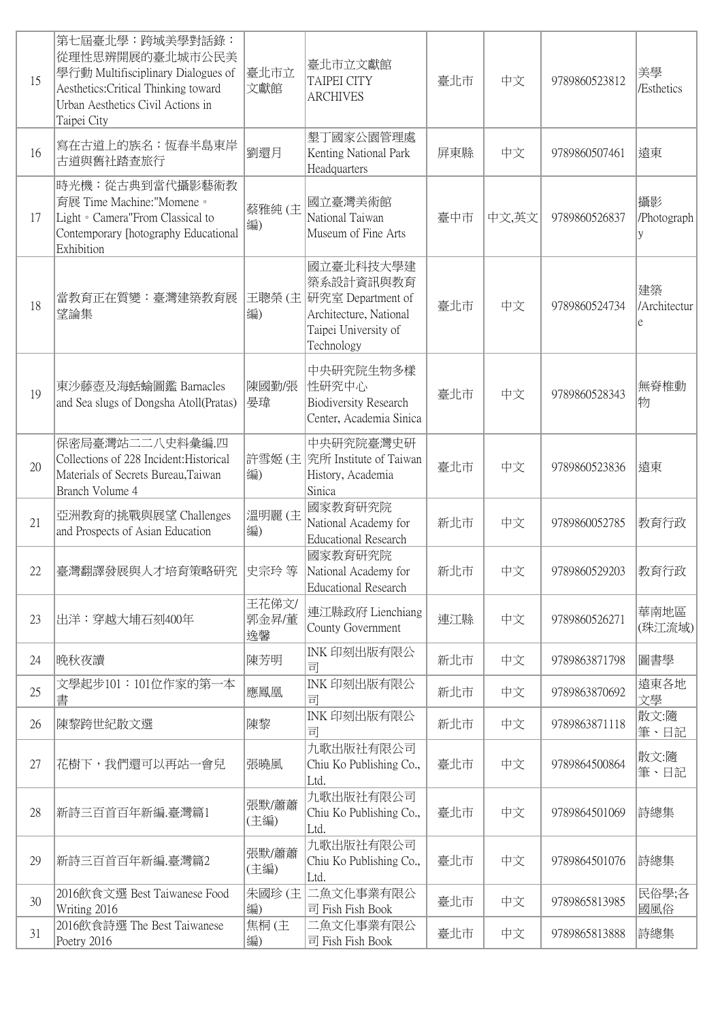| 15 | 第七屆臺北學:跨域美學對話錄:<br>從理性思辨開展的臺北城市公民美<br>學行動 Multifisciplinary Dialogues of<br>Aesthetics: Critical Thinking toward<br>Urban Aesthetics Civil Actions in<br>Taipei City | 臺北市立<br>文獻館          | 臺北市立文獻館<br><b>TAIPEI CITY</b><br><b>ARCHIVES</b>                                                            | 臺北市 | 中文    | 9789860523812 | 美學<br>/Esthetics        |
|----|----------------------------------------------------------------------------------------------------------------------------------------------------------------------|----------------------|-------------------------------------------------------------------------------------------------------------|-----|-------|---------------|-------------------------|
| 16 | 寫在古道上的族名:恆春半島東岸<br>古道與舊社踏查旅行                                                                                                                                         | 劉還月                  | 墾丁國家公園管理處<br>Kenting National Park<br>Headquarters                                                          | 屏東縣 | 中文    | 9789860507461 | 遠東                      |
| 17 | 時光機:從古典到當代攝影藝術教<br>育展 Time Machine:"Momene。<br>Light • Camera"From Classical to<br>Contemporary [hotography Educational<br>Exhibition                                | 蔡雅純 (主<br>編)         | 國立臺灣美術館<br>National Taiwan<br>Museum of Fine Arts                                                           | 臺中市 | 中文,英文 | 9789860526837 | 攝影<br>/Photograph<br>y  |
| 18 | 當教育正在質變:臺灣建築教育展<br>望論集                                                                                                                                               | 王聰榮 (主<br>編)         | 國立臺北科技大學建<br>築系設計資訊與教育<br>研究室 Department of<br>Architecture, National<br>Taipei University of<br>Technology | 臺北市 | 中文    | 9789860524734 | 建築<br>/Architectur<br>e |
| 19 | 東沙藤壺及海蛞蝓圖鑑 Barnacles<br>and Sea slugs of Dongsha Atoll(Pratas)                                                                                                       | 陳國勤/張<br>晏瑋          | 中央研究院生物多樣<br>性研究中心<br><b>Biodiversity Research</b><br>Center, Academia Sinica                               | 臺北市 | 中文    | 9789860528343 | 無脊椎動<br>物               |
| 20 | 保密局臺灣站二二八史料彙編.四<br>Collections of 228 Incident: Historical<br>Materials of Secrets Bureau, Taiwan<br>Branch Volume 4                                                 | 編)                   | 中央研究院臺灣史研<br>許雪姬 (主 究所 Institute of Taiwan<br>History, Academia<br>Sinica                                   | 臺北市 | 中文    | 9789860523836 | 遠東                      |
| 21 | 亞洲教育的挑戰與展望 Challenges<br>and Prospects of Asian Education                                                                                                            | 溫明麗(主<br>編)          | 國家教育研究院<br>National Academy for<br><b>Educational Research</b>                                              | 新北市 | 中文    | 9789860052785 | 教育行政                    |
| 22 | 臺灣翻譯發展與人才培育策略研究                                                                                                                                                      | 史宗玲 等                | 國家教育研究院<br>National Academy for<br><b>Educational Research</b>                                              | 新北市 | 中文    | 9789860529203 | 教育行政                    |
| 23 | 出洋:穿越大埔石刻400年                                                                                                                                                        | 王花俤文/<br>郭金昇/董<br>逸馨 | 連江縣政府 Lienchiang<br>County Government                                                                       | 連江縣 | 中文    | 9789860526271 | 華南地區<br>(珠江流域)          |
| 24 | 晚秋夜讀                                                                                                                                                                 | 陳芳明                  | INK 印刻出版有限公<br>司                                                                                            | 新北市 | 中文    | 9789863871798 | 圖書學                     |
| 25 | 文學起步101:101位作家的第一本<br>書                                                                                                                                              | 應鳳凰                  | INK 印刻出版有限公<br>司                                                                                            | 新北市 | 中文    | 9789863870692 | 遠東各地<br>文學              |
| 26 | 陳黎跨世紀散文選                                                                                                                                                             | 陳黎                   | INK 印刻出版有限公<br>司                                                                                            | 新北市 | 中文    | 9789863871118 | 散文:隨<br>筆、日記            |
| 27 | 花樹下,我們還可以再站一會兒                                                                                                                                                       | 張曉風                  | 九歌出版社有限公司<br>Chiu Ko Publishing Co.,<br>Ltd.                                                                | 臺北市 | 中文    | 9789864500864 | 散文:隨<br>筆、日記            |
| 28 | 新詩三百首百年新編.臺灣篇1                                                                                                                                                       | 張默/蕭蕭<br>(主編)        | 九歌出版社有限公司<br>Chiu Ko Publishing Co.,<br>Ltd.                                                                | 臺北市 | 中文    | 9789864501069 | 詩總集                     |
| 29 | 新詩三百首百年新編.臺灣篇2                                                                                                                                                       | 張默/蕭蕭<br>(主編)        | 九歌出版社有限公司<br>Chiu Ko Publishing Co.,<br>Ltd.                                                                | 臺北市 | 中文    | 9789864501076 | 詩總集                     |
| 30 | 2016飲食文選 Best Taiwanese Food<br>Writing 2016                                                                                                                         | 朱國珍(主<br>編)          | 二魚文化事業有限公<br>司 Fish Fish Book                                                                               | 臺北市 | 中文    | 9789865813985 | 民俗學;各<br>國風俗            |
| 31 | 2016飲食詩選 The Best Taiwanese<br>Poetry 2016                                                                                                                           | 焦桐(主<br>編)           | 二魚文化事業有限公<br>司 Fish Fish Book                                                                               | 臺北市 | 中文    | 9789865813888 | 詩總集                     |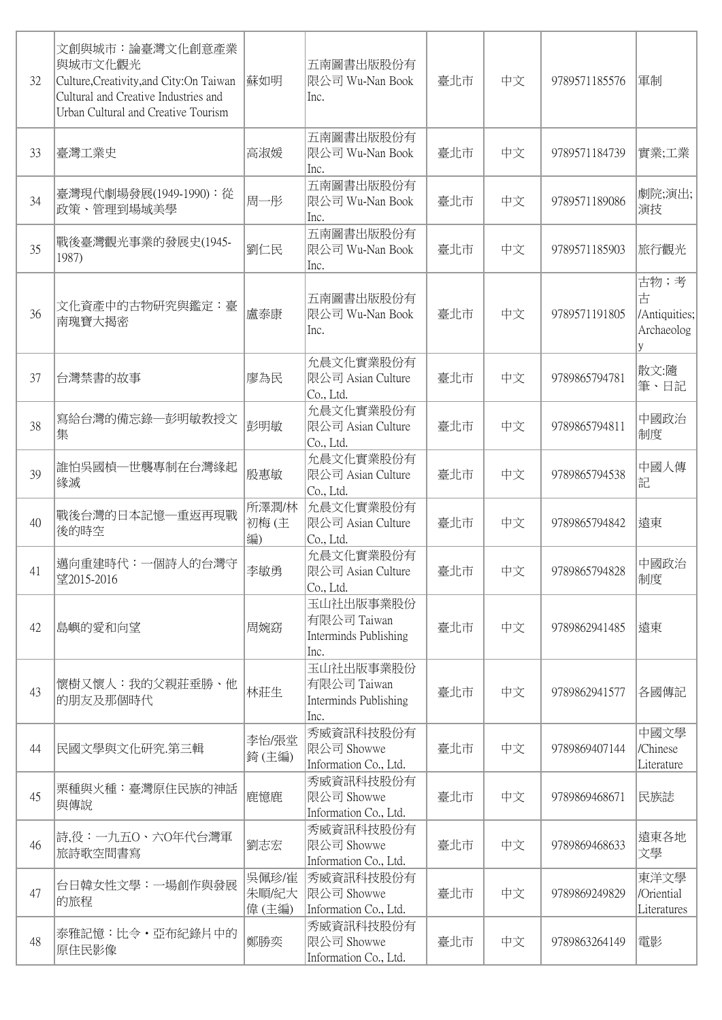| 32 | 文創與城市:論臺灣文化創意產業<br>與城市文化觀光<br>Culture, Creativity, and City: On Taiwan<br>Cultural and Creative Industries and<br>Urban Cultural and Creative Tourism | 蘇如明                      | 五南圖書出版股份有<br>限公司 Wu-Nan Book<br>Inc.                      | 臺北市 | 中文 | 9789571185576 | 軍制                                            |
|----|-------------------------------------------------------------------------------------------------------------------------------------------------------|--------------------------|-----------------------------------------------------------|-----|----|---------------|-----------------------------------------------|
| 33 | 臺灣工業史                                                                                                                                                 | 高淑媛                      | 五南圖書出版股份有<br>限公司 Wu-Nan Book<br>Inc.                      | 臺北市 | 中文 | 9789571184739 | 實業;工業                                         |
| 34 | 臺灣現代劇場發展(1949-1990): 從<br>政策、管理到場域美學                                                                                                                  | 周一彤                      | 五南圖書出版股份有<br> 限公司 Wu-Nan Book<br>Inc.                     | 臺北市 | 中文 | 9789571189086 | 劇院;演出;<br>演技                                  |
| 35 | 戰後臺灣觀光事業的發展史(1945-<br>1987)                                                                                                                           | 劉仁民                      | 五南圖書出版股份有<br> 限公司 Wu-Nan Book<br>Inc.                     | 臺北市 | 中文 | 9789571185903 | 旅行觀光                                          |
| 36 | 文化資產中的古物研究與鑑定:臺<br>南瑰寶大揭密                                                                                                                             | 盧泰康                      | 五南圖書出版股份有<br>限公司 Wu-Nan Book<br>Inc.                      | 臺北市 | 中文 | 9789571191805 | 古物;考<br>古<br>/Antiquities;<br>Archaeolog<br>y |
| 37 | 台灣禁書的故事                                                                                                                                               | 廖為民                      | 允晨文化實業股份有<br>限公司 Asian Culture<br>Co., Ltd.               | 臺北市 | 中文 | 9789865794781 | 散文:隨<br>筆、日記                                  |
| 38 | 寫給台灣的備忘錄—彭明敏教授文<br>集                                                                                                                                  | 彭明敏                      | 允晨文化實業股份有<br>限公司 Asian Culture<br>Co., Ltd.               | 臺北市 | 中文 | 9789865794811 | 中國政治<br>制度                                    |
| 39 | 誰怕吳國楨一世襲專制在台灣緣起<br>緣滅                                                                                                                                 | 殷惠敏                      | 允晨文化實業股份有<br> 限公司 Asian Culture<br>Co., Ltd.              | 臺北市 | 中文 | 9789865794538 | 中國人傳<br>記                                     |
| 40 | 戰後台灣的日本記憶–重返再現戰<br>後的時空                                                                                                                               | 所澤潤/林<br>初梅(主<br>編)      | 允晨文化實業股份有<br> 限公司 Asian Culture<br>Co., Ltd.              | 臺北市 | 中文 | 9789865794842 | 遠東                                            |
| 41 | 邁向重建時代:一個詩人的台灣守<br>望2015-2016                                                                                                                         | 李敏勇                      | 允晨文化實業股份有<br>限公司 Asian Culture<br>Co., Ltd.               | 臺北市 | 中文 | 9789865794828 | 中國政治<br>制度                                    |
| 42 | 島嶼的愛和向望                                                                                                                                               | 周婉窈                      | 玉山社出版事業股份<br>有限公司 Taiwan<br>Interminds Publishing<br>Inc. | 臺北市 | 中文 | 9789862941485 | 遠東                                            |
| 43 | 懷樹又懷人:我的父親莊垂勝、他<br>的朋友及那個時代                                                                                                                           | 林莊生                      | 玉山社出版事業股份<br>有限公司 Taiwan<br>Interminds Publishing<br>Inc. | 臺北市 | 中文 | 9789862941577 | 各國傳記                                          |
| 44 | 民國文學與文化研究.第三輯                                                                                                                                         | 李怡/張堂<br>錡(主編)           | 秀威資訊科技股份有<br>限公司 Showwe<br>Information Co., Ltd.          | 臺北市 | 中文 | 9789869407144 | 中國文學<br>/Chinese<br>Literature                |
| 45 | 栗種與火種:臺灣原住民族的神話<br>與傳說                                                                                                                                | 鹿憶鹿                      | 秀威資訊科技股份有<br>限公司 Showwe<br>Information Co., Ltd.          | 臺北市 | 中文 | 9789869468671 | 民族誌                                           |
| 46 | 詩,役:一九五O、六O年代台灣軍<br>旅詩歌空間書寫                                                                                                                           | 劉志宏                      | 秀威資訊科技股份有<br>限公司 Showwe<br>Information Co., Ltd.          | 臺北市 | 中文 | 9789869468633 | 遠東各地<br>文學                                    |
| 47 | 台日韓女性文學:一場創作與發展<br>的旅程                                                                                                                                | 吳佩珍/崔<br>朱順/紀大<br>偉 (主編) | 秀威資訊科技股份有<br> 限公司 Showwe<br>Information Co., Ltd.         | 臺北市 | 中文 | 9789869249829 | 東洋文學<br>/Oriential<br>Literatures             |
| 48 | 泰雅記憶:比令·亞布紀錄片中的<br>原住民影像                                                                                                                              | 鄭勝奕                      | 秀威資訊科技股份有<br>限公司 Showwe<br>Information Co., Ltd.          | 臺北市 | 中文 | 9789863264149 | 電影                                            |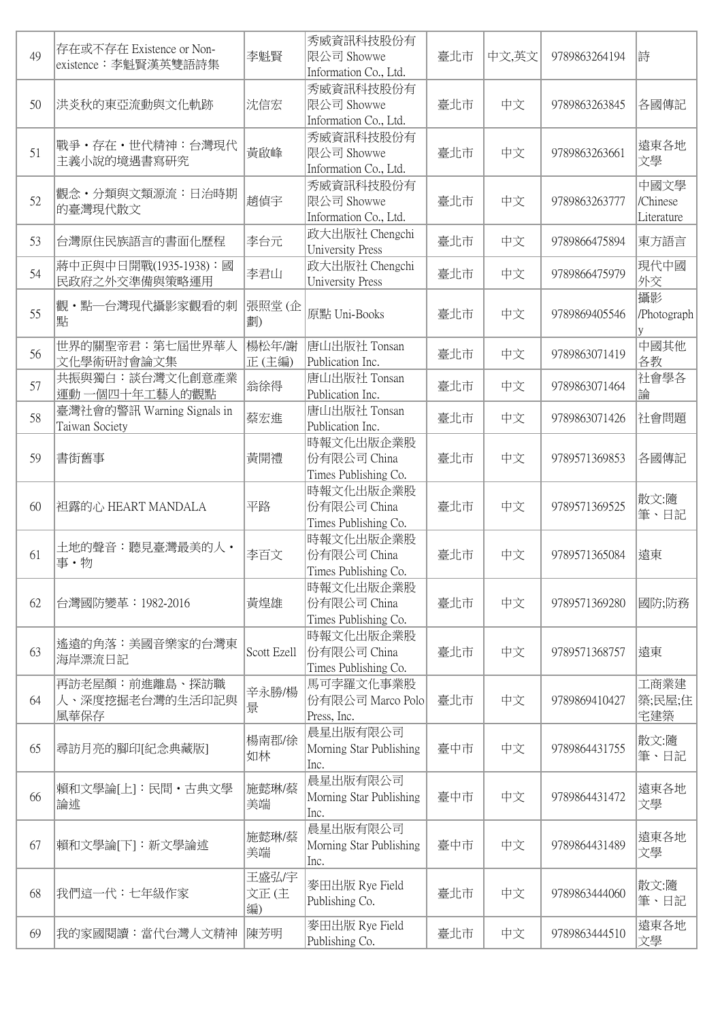| 49 | 存在或不存在 Existence or Non-<br>existence: 李魁賢漢英雙語詩集 | 李魁賢                 | 秀威資訊科技股份有<br>限公司 Showwe<br>Information Co., Ltd. | 臺北市 | 中文,英文 | 9789863264194 | 詩                              |
|----|--------------------------------------------------|---------------------|--------------------------------------------------|-----|-------|---------------|--------------------------------|
| 50 | 洪炎秋的東亞流動與文化軌跡                                    | 沈信宏                 | 秀威資訊科技股份有<br>限公司 Showwe<br>Information Co., Ltd. | 臺北市 | 中文    | 9789863263845 | 各國傳記                           |
| 51 | 戰爭・存在・世代精神:台灣現代<br>主義小說的境遇書寫研究                   | 黃啟峰                 | 秀威資訊科技股份有<br>限公司 Showwe<br>Information Co., Ltd. | 臺北市 | 中文    | 9789863263661 | 遠東各地<br>文學                     |
| 52 | 觀念·分類與文類源流:日治時期<br>的臺灣現代散文                       | 趙偵宇                 | 秀威資訊科技股份有<br>限公司 Showwe<br>Information Co., Ltd. | 臺北市 | 中文    | 9789863263777 | 中國文學<br>/Chinese<br>Literature |
| 53 | 台灣原住民族語言的書面化歷程                                   | 李台元                 | 政大出版社 Chengchi<br><b>University Press</b>        | 臺北市 | 中文    | 9789866475894 | 東方語言                           |
| 54 | 蔣中正與中日開戰(1935-1938):國<br>民政府之外交準備與策略運用           | 李君山                 | 政大出版社 Chengchi<br><b>University Press</b>        | 臺北市 | 中文    | 9789866475979 | 現代中國<br>外交                     |
| 55 | 觀・點―台灣現代攝影家觀看的刺<br>點                             | 張照堂(企<br>劃)         | 原點 Uni-Books                                     | 臺北市 | 中文    | 9789869405546 | 攝影<br>/Photograph              |
| 56 | 世界的關聖帝君:第七屆世界華人<br>文化學術研討會論文集                    | 楊松年/謝<br>正(主編)      | 唐山出版社 Tonsan<br>Publication Inc.                 | 臺北市 | 中文    | 9789863071419 | 中國其他<br>各教                     |
| 57 | 共振與獨白:談台灣文化創意產業<br>運動一個四十年工藝人的觀點                 | 翁徐得                 | 唐山出版社 Tonsan<br>Publication Inc.                 | 臺北市 | 中文    | 9789863071464 | 社會學各<br>論                      |
| 58 | 臺灣社會的警訊 Warning Signals in<br>Taiwan Society     | 蔡宏進                 | 唐山出版社 Tonsan<br>Publication Inc.                 | 臺北市 | 中文    | 9789863071426 | 社會問題                           |
| 59 | 書街舊事                                             | 黃開禮                 | 時報文化出版企業股<br>份有限公司 China<br>Times Publishing Co. | 臺北市 | 中文    | 9789571369853 | 各國傳記                           |
| 60 | 袒露的心 HEART MANDALA                               | 平路                  | 時報文化出版企業股<br>份有限公司 China<br>Times Publishing Co. | 臺北市 | 中文    | 9789571369525 | 散文:隨<br>筆、日記                   |
| 61 | 土地的聲音:聽見臺灣最美的人・<br>事·物                           | 李百文                 | 時報文化出版企業股<br>份有限公司 China<br>Times Publishing Co. | 臺北市 | 中文    | 9789571365084 | 遠東                             |
| 62 | 台灣國防變革:1982-2016                                 | 黃煌雄                 | 時報文化出版企業股<br>份有限公司 China<br>Times Publishing Co. | 臺北市 | 中文    | 9789571369280 | 國防;防務                          |
| 63 | 遙遠的角落:美國音樂家的台灣東<br>海岸漂流日記                        | Scott Ezell         | 時報文化出版企業股<br>份有限公司 China<br>Times Publishing Co. | 臺北市 | 中文    | 9789571368757 | 遠東                             |
| 64 | 再訪老屋顏:前進離島、探訪職<br>人、深度挖掘老台灣的生活印記與<br>風華保存        | 辛永勝/楊<br>景          | 馬可孛羅文化事業股<br>份有限公司 Marco Polo<br>Press, Inc.     | 臺北市 | 中文    | 9789869410427 | 工商業建<br> 築;民屋;住 <br>宅建築        |
| 65 | 尋訪月亮的腳印[紀念典藏版]                                   | 楊南郡/徐<br>如林         | 晨星出版有限公司<br>Morning Star Publishing<br>Inc.      | 臺中市 | 中文    | 9789864431755 | 散文:隨<br>筆、日記                   |
| 66 | 賴和文學論[上]:民間・古典文學<br>論述                           | 施懿琳/蔡<br>美端         | 晨星出版有限公司<br>Morning Star Publishing<br>Inc.      | 臺中市 | 中文    | 9789864431472 | 遠東各地<br>文學                     |
| 67 | 賴和文學論[下]:新文學論述                                   | 施懿琳/蔡<br>美端         | 晨星出版有限公司<br>Morning Star Publishing<br>Inc.      | 臺中市 | 中文    | 9789864431489 | 遠東各地<br>文學                     |
| 68 | 我們這一代:七年級作家                                      | 王盛弘/宇<br>文正(主<br>編) | 麥田出版 Rye Field<br>Publishing Co.                 | 臺北市 | 中文    | 9789863444060 | 散文:隨<br>筆、日記                   |
| 69 | 我的家國閱讀:當代台灣人文精神                                  | 陳芳明                 | 麥田出版 Rye Field<br>Publishing Co.                 | 臺北市 | 中文    | 9789863444510 | 遠東各地<br>文學                     |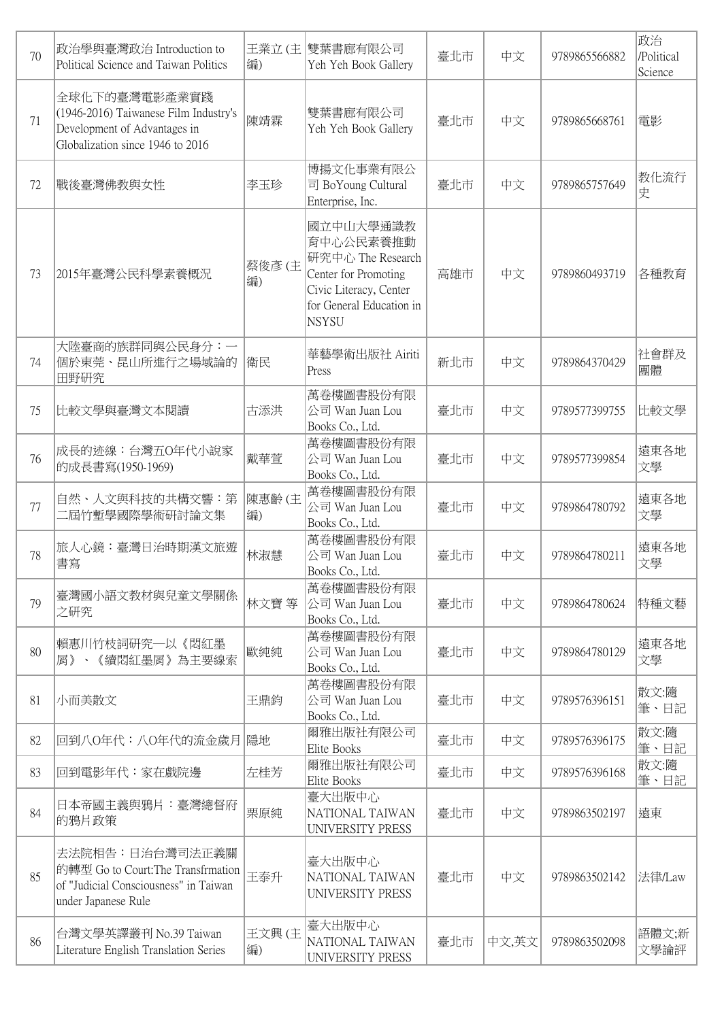| 70 | 政治學與臺灣政治 Introduction to<br>Political Science and Taiwan Politics                                                          | 編)           | 王業立 (主  雙葉書廊有限公司<br>Yeh Yeh Book Gallery                                                                                                  | 臺北市 | 中文    | 9789865566882 | 政治<br>/Political<br>Science |
|----|----------------------------------------------------------------------------------------------------------------------------|--------------|-------------------------------------------------------------------------------------------------------------------------------------------|-----|-------|---------------|-----------------------------|
| 71 | 全球化下的臺灣電影產業實踐<br>(1946-2016) Taiwanese Film Industry's<br>Development of Advantages in<br>Globalization since 1946 to 2016 | 陳靖霖          | 雙葉書廊有限公司<br>Yeh Yeh Book Gallery                                                                                                          | 臺北市 | 中文    | 9789865668761 | 電影                          |
| 72 | 戰後臺灣佛教與女性                                                                                                                  | 李玉珍          | 博揚文化事業有限公<br>司 BoYoung Cultural<br>Enterprise, Inc.                                                                                       | 臺北市 | 中文    | 9789865757649 | 教化流行<br>史                   |
| 73 | 2015年臺灣公民科學素養概況                                                                                                            | 蔡俊彦 (主<br>編) | 國立中山大學通識教<br>育中心公民素養推動<br>研究中心 The Research<br>Center for Promoting<br>Civic Literacy, Center<br>for General Education in<br><b>NSYSU</b> | 高雄市 | 中文    | 9789860493719 | 各種教育                        |
| 74 | 大陸臺商的族群同與公民身分:一<br> 個於東莞、昆山所進行之場域論的<br>田野研究                                                                                | 衛民           | 華藝學術出版社 Airiti<br>Press                                                                                                                   | 新北市 | 中文    | 9789864370429 | 社會群及<br>團體                  |
| 75 | 比較文學與臺灣文本閱讀                                                                                                                | 古添洪          | 萬卷樓圖書股份有限<br>公司 Wan Juan Lou<br>Books Co., Ltd.                                                                                           | 臺北市 | 中文    | 9789577399755 | 比較文學                        |
| 76 | 成長的迹線:台灣五O年代小說家<br>的成長書寫(1950-1969)                                                                                        | 戴華萱          | 萬卷樓圖書股份有限<br>公司 Wan Juan Lou<br>Books Co., Ltd.                                                                                           | 臺北市 | 中文    | 9789577399854 | 遠東各地<br>文學                  |
| 77 | 自然、人文與科技的共構交響:第<br>二屆竹塹學國際學術研討論文集                                                                                          | 陳惠齡(主<br>編)  | 萬卷樓圖書股份有限<br>公司 Wan Juan Lou<br>Books Co., Ltd.                                                                                           | 臺北市 | 中文    | 9789864780792 | 遠東各地<br>文學                  |
| 78 | 旅人心鏡:臺灣日治時期漢文旅遊<br>書寫                                                                                                      | 林淑慧          | 萬卷樓圖書股份有限<br>公司 Wan Juan Lou<br>Books Co., Ltd.                                                                                           | 臺北市 | 中文    | 9789864780211 | 遠東各地<br>文學                  |
| 79 | 臺灣國小語文教材與兒童文學關係<br>之研究                                                                                                     | 林文寶 等        | 萬卷樓圖書股份有限<br>公司 Wan Juan Lou<br>Books Co., Ltd.                                                                                           | 臺北市 | 中文    | 9789864780624 | 特種文藝                        |
| 80 | 賴惠川竹枝詞研究―以《悶紅墨<br>屑》、《續悶紅墨屑》為主要線索                                                                                          | 歐純純          | 萬卷樓圖書股份有限<br>公司 Wan Juan Lou<br>Books Co., Ltd.                                                                                           | 臺北市 | 中文    | 9789864780129 | 遠東各地<br>文學                  |
| 81 | 小而美散文                                                                                                                      | 王鼎鈞          | 萬卷樓圖書股份有限<br>公司 Wan Juan Lou<br>Books Co., Ltd.                                                                                           | 臺北市 | 中文    | 9789576396151 | 散文:隨<br>筆、日記                |
| 82 | 回到八O年代:八O年代的流金歲月                                                                                                           | 隱地           | 爾雅出版社有限公司<br>Elite Books                                                                                                                  | 臺北市 | 中文    | 9789576396175 | 散文:隨<br>筆、日記                |
| 83 | 回到電影年代:家在戲院邊                                                                                                               | 左桂芳          | 爾雅出版社有限公司<br>Elite Books                                                                                                                  | 臺北市 | 中文    | 9789576396168 | 散文:隨<br>筆、日記                |
| 84 | 日本帝國主義與鴉片:臺灣總督府<br>的鴉片政策                                                                                                   | 栗原純          | 臺大出版中心<br>NATIONAL TAIWAN<br>UNIVERSITY PRESS                                                                                             | 臺北市 | 中文    | 9789863502197 | 遠東                          |
| 85 | 去法院相告:日治台灣司法正義關<br> 的轉型 Go to Court:The Transfrmation<br>of "Judicial Consciousness" in Taiwan<br>under Japanese Rule      | 王泰升          | 臺大出版中心<br>NATIONAL TAIWAN<br>UNIVERSITY PRESS                                                                                             | 臺北市 | 中文    | 9789863502142 | 法律/Law                      |
| 86 | 台灣文學英譯叢刊 No.39 Taiwan<br>Literature English Translation Series                                                             | 王文興(主<br>編)  | 臺大出版中心<br>NATIONAL TAIWAN<br>UNIVERSITY PRESS                                                                                             | 臺北市 | 中文,英文 | 9789863502098 | 語體文;新<br>文學論評               |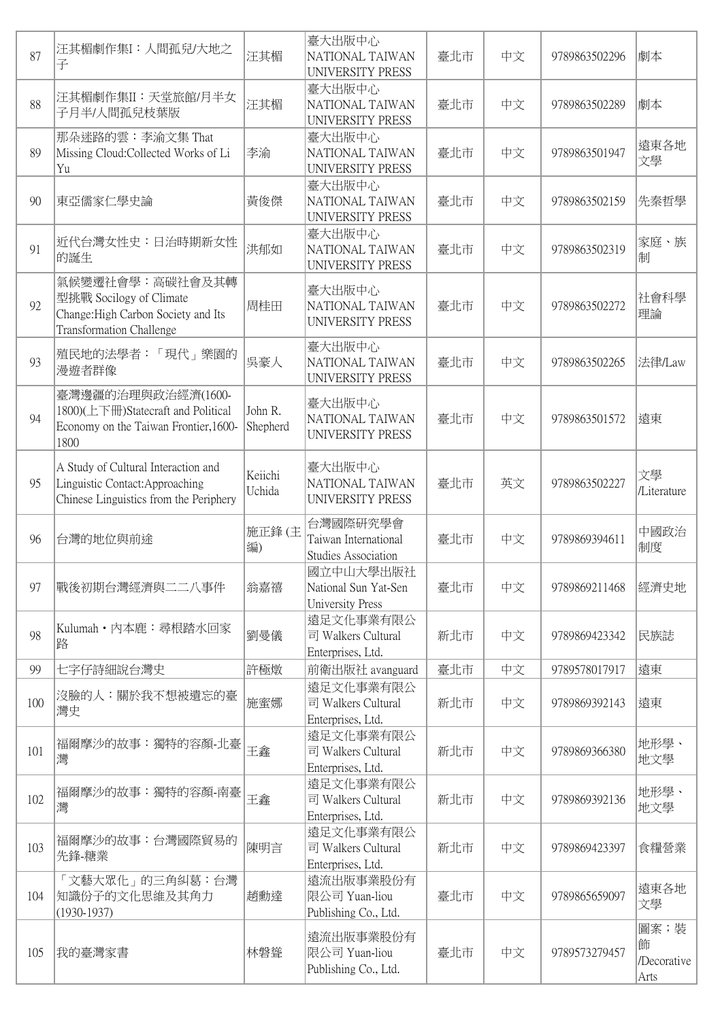| 87  | 汪其楣劇作集I: 人間孤兒/大地之<br>子                                                                                               | 汪其楣                 | 臺大出版中心<br>NATIONAL TAIWAN<br><b>UNIVERSITY PRESS</b>           | 臺北市 | 中文 | 9789863502296 | 劇本                              |
|-----|----------------------------------------------------------------------------------------------------------------------|---------------------|----------------------------------------------------------------|-----|----|---------------|---------------------------------|
| 88  | 汪其楣劇作集II:天堂旅館/月半女<br>子月半/人間孤兒枝葉版                                                                                     | 汪其楣                 | 臺大出版中心<br>NATIONAL TAIWAN<br>UNIVERSITY PRESS                  | 臺北市 | 中文 | 9789863502289 | 劇本                              |
| 89  | 那朵迷路的雲:李渝文集 That<br>Missing Cloud: Collected Works of Li<br>Yu                                                       | 李渝                  | 臺大出版中心<br>NATIONAL TAIWAN<br>UNIVERSITY PRESS                  | 臺北市 | 中文 | 9789863501947 | 遠東各地<br>文學                      |
| 90  | 東亞儒家仁學史論                                                                                                             | 黃俊傑                 | 臺大出版中心<br>NATIONAL TAIWAN<br>UNIVERSITY PRESS                  | 臺北市 | 中文 | 9789863502159 | 先秦哲學                            |
| 91  | 近代台灣女性史:日治時期新女性<br>的誕生                                                                                               | 洪郁如                 | 臺大出版中心<br>NATIONAL TAIWAN<br>UNIVERSITY PRESS                  | 臺北市 | 中文 | 9789863502319 | 家庭、族<br>制                       |
| 92  | 氣候變遷社會學:高碳社會及其轉<br>型挑戰 Socilogy of Climate<br>Change: High Carbon Society and Its<br><b>Transformation Challenge</b> | 周桂田                 | 臺大出版中心<br>NATIONAL TAIWAN<br>UNIVERSITY PRESS                  | 臺北市 | 中文 | 9789863502272 | 社會科學<br>理論                      |
| 93  | 殖民地的法學者:「現代」樂園的<br>漫遊者群像                                                                                             | 吳豪人                 | 臺大出版中心<br>NATIONAL TAIWAN<br>UNIVERSITY PRESS                  | 臺北市 | 中文 | 9789863502265 | 法律/Law                          |
| 94  | 臺灣邊疆的治理與政治經濟(1600-<br>1800)(上下冊)Statecraft and Political<br>Economy on the Taiwan Frontier, 1600-<br>1800            | John R.<br>Shepherd | 臺大出版中心<br>NATIONAL TAIWAN<br>UNIVERSITY PRESS                  | 臺北市 | 中文 | 9789863501572 | 遠東                              |
| 95  | A Study of Cultural Interaction and<br>Linguistic Contact: Approaching<br>Chinese Linguistics from the Periphery     | Keiichi<br>Uchida   | 臺大出版中心<br>NATIONAL TAIWAN<br>UNIVERSITY PRESS                  | 臺北市 | 英文 | 9789863502227 | 文學<br>/Literature               |
| 96  | 台灣的地位與前途                                                                                                             | 施正鋒(主<br>編)         | 台灣國際研究學會<br>Taiwan International<br><b>Studies Association</b> | 臺北市 | 中文 | 9789869394611 | 中國政治<br>制度                      |
| 97  | 戰後初期台灣經濟與二二八事件                                                                                                       | 翁嘉禧                 | 國立中山大學出版社<br>National Sun Yat-Sen<br><b>University Press</b>   | 臺北市 | 中文 | 9789869211468 | 經濟史地                            |
| 98  | Kulumah · 內本鹿: 尋根踏水回家<br>路                                                                                           | 劉曼儀                 | 遠足文化事業有限公<br>司 Walkers Cultural<br>Enterprises, Ltd.           | 新北市 | 中文 | 9789869423342 | 民族誌                             |
| 99  | 七字仔詩細說台灣史                                                                                                            | 許極燉                 | 前衛出版社 avanguard                                                | 臺北市 | 中文 | 9789578017917 | 遠東                              |
| 100 | 沒臉的人:關於我不想被遺忘的臺<br>灣史                                                                                                | 施蜜娜                 | 遠足文化事業有限公<br>司 Walkers Cultural<br>Enterprises, Ltd.           | 新北市 | 中文 | 9789869392143 | 遠東                              |
| 101 | 福爾摩沙的故事:獨特的容顏-北臺<br>灣                                                                                                | 王鑫                  | 遠足文化事業有限公<br>司 Walkers Cultural<br>Enterprises, Ltd.           | 新北市 | 中文 | 9789869366380 | 地形學、<br>地文學                     |
| 102 | 福爾摩沙的故事:獨特的容顏-南臺<br>灣                                                                                                | 王鑫                  | 遠足文化事業有限公<br>司 Walkers Cultural<br>Enterprises, Ltd.           | 新北市 | 中文 | 9789869392136 | 地形學、<br>地文學                     |
| 103 | 福爾摩沙的故事:台灣國際貿易的<br>先鋒-糖業                                                                                             | 陳明言                 | 遠足文化事業有限公<br>司 Walkers Cultural<br>Enterprises, Ltd.           | 新北市 | 中文 | 9789869423397 | 食糧營業                            |
| 104 | 「文藝大眾化」的三角糾葛:台灣<br>知識份子的文化思維及其角力<br>$(1930-1937)$                                                                    | 趙勳達                 | 遠流出版事業股份有<br>限公司 Yuan-liou<br>Publishing Co., Ltd.             | 臺北市 | 中文 | 9789865659097 | 遠東各地<br>文學                      |
| 105 | 我的臺灣家書                                                                                                               | 林磐聳                 | 遠流出版事業股份有<br>限公司 Yuan-liou<br>Publishing Co., Ltd.             | 臺北市 | 中文 | 9789573279457 | 圖案;裝<br>飾<br>Decorative<br>Arts |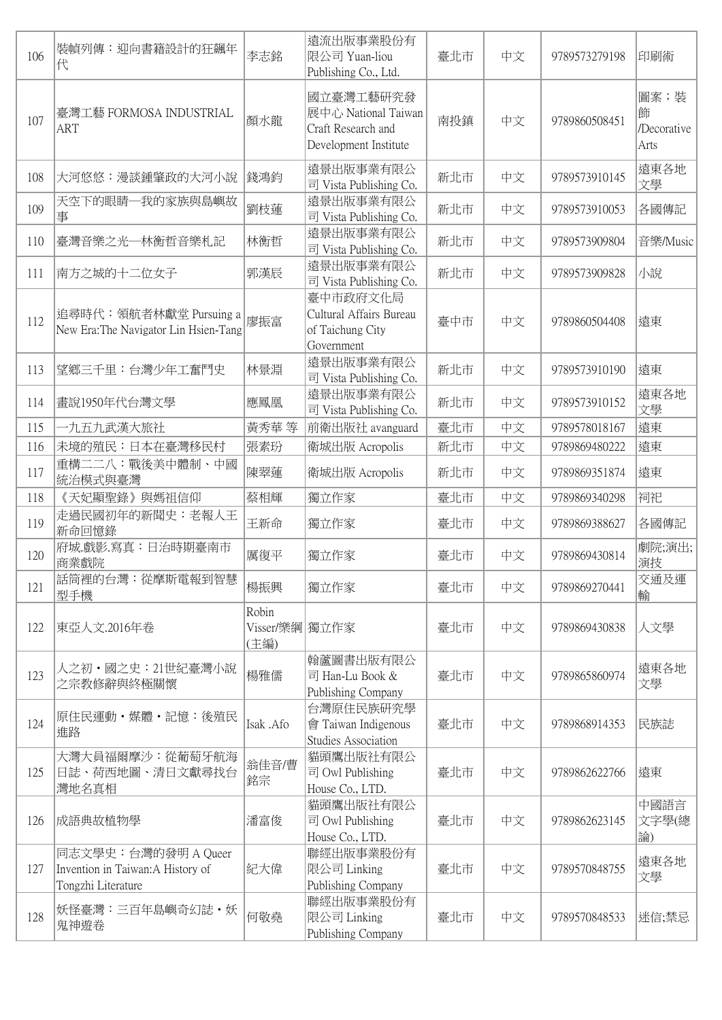| 106 | 裝幀列傳: 迎向書籍設計的狂飆年<br>代                                                          | 李志銘                             | 遠流出版事業股份有<br>限公司 Yuan-liou<br>Publishing Co., Ltd.                              | 臺北市 | 中文 | 9789573279198 | 印刷術                              |
|-----|--------------------------------------------------------------------------------|---------------------------------|---------------------------------------------------------------------------------|-----|----|---------------|----------------------------------|
| 107 | 臺灣工藝 FORMOSA INDUSTRIAL<br><b>ART</b>                                          | 顏水龍                             | 國立臺灣工藝研究發<br>展中心 National Taiwan<br>Craft Research and<br>Development Institute | 南投鎮 | 中文 | 9789860508451 | 圖案;裝<br>飾<br>/Decorative<br>Arts |
| 108 | 大河悠悠:漫談鍾肇政的大河小說                                                                | 錢鴻鈞                             | 遠景出版事業有限公<br>司 Vista Publishing Co.                                             | 新北市 | 中文 | 9789573910145 | 遠東各地<br>文學                       |
| 109 | 天空下的眼睛一我的家族與島嶼故<br>事                                                           | 劉枝蓮                             | 遠景出版事業有限公<br>司 Vista Publishing Co.                                             | 新北市 | 中文 | 9789573910053 | 各國傳記                             |
| 110 | 臺灣音樂之光—林衡哲音樂札記                                                                 | 林衡哲                             | 遠景出版事業有限公<br>司 Vista Publishing Co.                                             | 新北市 | 中文 | 9789573909804 | 音樂/Music                         |
| 111 | 南方之城的十二位女子                                                                     | 郭漢辰                             | 遠景出版事業有限公<br>司 Vista Publishing Co.                                             | 新北市 | 中文 | 9789573909828 | 小說                               |
| 112 | 追尋時代:領航者林獻堂 Pursuing a<br>New Era: The Navigator Lin Hsien-Tang                | 廖振富                             | 臺中市政府文化局<br>Cultural Affairs Bureau<br>of Taichung City<br>Government           | 臺中市 | 中文 | 9789860504408 | 遠東                               |
| 113 | 望鄉三千里:台灣少年工奮鬥史                                                                 | 林景淵                             | 遠景出版事業有限公<br>司 Vista Publishing Co.                                             | 新北市 | 中文 | 9789573910190 | 遠東                               |
| 114 | 畫說1950年代台灣文學                                                                   | 應鳳凰                             | 遠景出版事業有限公<br>司 Vista Publishing Co.                                             | 新北市 | 中文 | 9789573910152 | 遠東各地<br>文學                       |
| 115 | 九五九武漢大旅社                                                                       | 黃秀華 等                           | 前衛出版社 avanguard                                                                 | 臺北市 | 中文 | 9789578018167 | 遠東                               |
| 116 | 未境的殖民:日本在臺灣移民村                                                                 | 張素玢                             | 衛城出版 Acropolis                                                                  | 新北市 | 中文 | 9789869480222 | 遠東                               |
| 117 | 重構二二八:戰後美中體制、中國<br>統治模式與臺灣                                                     | 陳翠蓮                             | 衛城出版 Acropolis                                                                  | 新北市 | 中文 | 9789869351874 | 遠東                               |
| 118 | 《天妃顯聖錄》與媽祖信仰                                                                   | 蔡相輝                             | 獨立作家                                                                            | 臺北市 | 中文 | 9789869340298 | 祠祀                               |
| 119 | 走過民國初年的新聞史:老報人王<br>新命回憶錄                                                       | 王新命                             | 獨立作家                                                                            | 臺北市 | 中文 | 9789869388627 | 各國傳記                             |
| 120 | 府城.戲影.寫真:日治時期臺南市<br>商業戲院                                                       | 厲復平                             | 獨立作家                                                                            | 臺北市 | 中文 | 9789869430814 | 劇院;演出;<br>演技                     |
| 121 | 話筒裡的台灣:從摩斯電報到智慧<br>型手機                                                         | 楊振興                             | 獨立作家                                                                            | 臺北市 | 中文 | 9789869270441 | 交通及運<br>輸                        |
| 122 | 東亞人文.2016年卷                                                                    | Robin<br>Visser/樂綱 獨立作家<br>(主編) |                                                                                 | 臺北市 | 中文 | 9789869430838 | 人文學                              |
| 123 | 人之初・國之史:21世紀臺灣小說<br>之宗教修辭與終極關懷                                                 | 楊雅儒                             | 翰蘆圖書出版有限公<br>司 Han-Lu Book &<br>Publishing Company                              | 臺北市 | 中文 | 9789865860974 | 遠東各地<br>文學                       |
| 124 | 原住民運動・媒體・記憶:後殖民<br>進路                                                          | Isak .Afo                       | 台灣原住民族研究學<br>會 Taiwan Indigenous<br><b>Studies Association</b>                  | 臺北市 | 中文 | 9789868914353 | 民族誌                              |
| 125 | 大灣大員福爾摩沙:從葡萄牙航海<br>日誌、荷西地圖、清日文獻尋找台<br>灣地名真相                                    | 翁佳音/曹<br>銘宗                     | 貓頭鷹出版社有限公<br>司 Owl Publishing<br>House Co., LTD.                                | 臺北市 | 中文 | 9789862622766 | 遠東                               |
| 126 | 成語典故植物學                                                                        | 潘富俊                             | 貓頭鷹出版社有限公<br>司 Owl Publishing<br>House Co., LTD.                                | 臺北市 | 中文 | 9789862623145 | 中國語言<br>文字學(總<br>論)              |
| 127 | 同志文學史:台灣的發明 A Queer<br>Invention in Taiwan: A History of<br>Tongzhi Literature | 紀大偉                             | 聯經出版事業股份有<br>限公司 Linking<br>Publishing Company                                  | 臺北市 | 中文 | 9789570848755 | 遠東各地<br>文學                       |
| 128 | 妖怪臺灣:三百年島嶼奇幻誌・妖<br>鬼神遊卷                                                        | 何敬堯                             | 聯經出版事業股份有<br>限公司 Linking<br>Publishing Company                                  | 臺北市 | 中文 | 9789570848533 | 迷信;禁忌                            |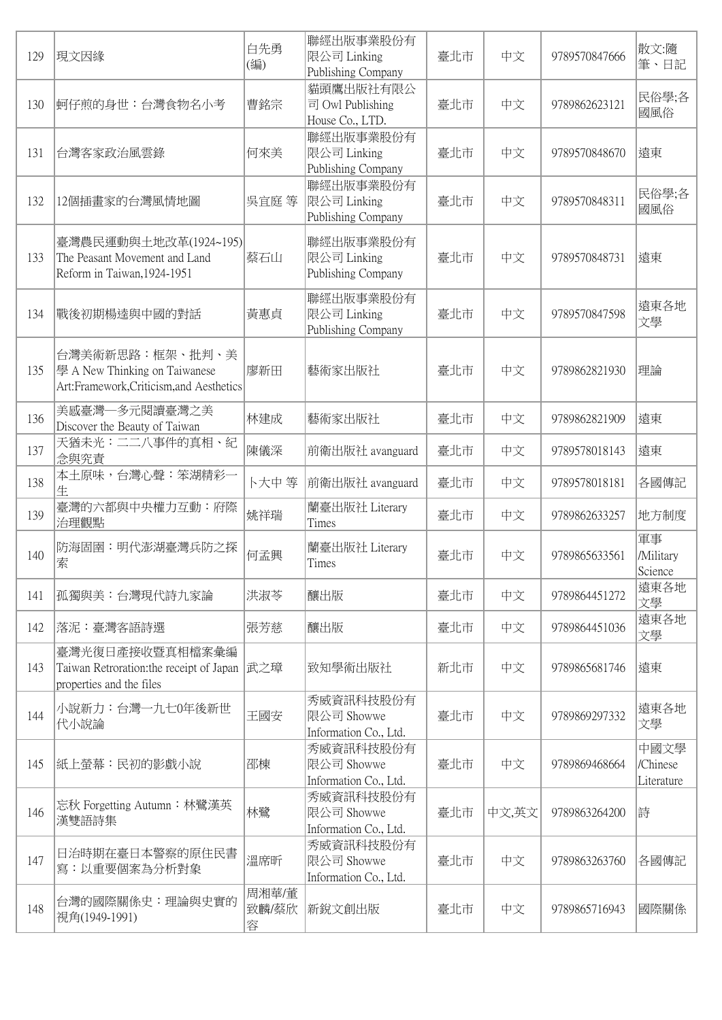| 129 | 現文因緣                                                                                         | 白先勇<br>(編)          | 聯經出版事業股份有<br>限公司 Linking<br>Publishing Company   | 臺北市 | 中文    | 9789570847666 | 散文:隨<br>筆、日記                   |
|-----|----------------------------------------------------------------------------------------------|---------------------|--------------------------------------------------|-----|-------|---------------|--------------------------------|
| 130 | 蚵仔煎的身世:台灣食物名小考                                                                               | 曹銘宗                 | 貓頭鷹出版社有限公<br>司 Owl Publishing<br>House Co., LTD. | 臺北市 | 中文    | 9789862623121 | 民俗學;各<br>國風俗                   |
| 131 | 台灣客家政治風雲錄                                                                                    | 何來美                 | 聯經出版事業股份有<br>限公司 Linking<br>Publishing Company   | 臺北市 | 中文    | 9789570848670 | 遠東                             |
| 132 | 12個插畫家的台灣風情地圖                                                                                | 吳宜庭 等               | 聯經出版事業股份有<br> 限公司 Linking<br>Publishing Company  | 臺北市 | 中文    | 9789570848311 | 民俗學;各<br>國風俗                   |
| 133 | 臺灣農民運動與土地改革(1924~195)<br>The Peasant Movement and Land<br>Reform in Taiwan, 1924-1951        | 蔡石山                 | 聯經出版事業股份有<br>限公司 Linking<br>Publishing Company   | 臺北市 | 中文    | 9789570848731 | 遠東                             |
| 134 | 戰後初期楊逵與中國的對話                                                                                 | 黃惠貞                 | 聯經出版事業股份有<br>限公司 Linking<br>Publishing Company   | 臺北市 | 中文    | 9789570847598 | 遠東各地<br>文學                     |
| 135 | 台灣美術新思路:框架、批判、美<br>學 A New Thinking on Taiwanese<br>Art:Framework, Criticism, and Aesthetics | 廖新田                 | 藝術家出版社                                           | 臺北市 | 中文    | 9789862821930 | 理論                             |
| 136 | 美感臺灣一多元閱讀臺灣之美<br>Discover the Beauty of Taiwan                                               | 林建成                 | 藝術家出版社                                           | 臺北市 | 中文    | 9789862821909 | 遠東                             |
| 137 | 天猶未光:二二八事件的真相、紀<br>念與究責                                                                      | 陳儀深                 | 前衛出版社 avanguard                                  | 臺北市 | 中文    | 9789578018143 | 遠東                             |
| 138 | 本土原味,台灣心聲:笨湖精彩一<br>生                                                                         | 卜大中 等               | 前衛出版社 avanguard                                  | 臺北市 | 中文    | 9789578018181 | 各國傳記                           |
| 139 | 臺灣的六都與中央權力互動:府際<br>治理觀點                                                                      | 姚祥瑞                 | 蘭臺出版社 Literary<br>Times                          | 臺北市 | 中文    | 9789862633257 | 地方制度                           |
| 140 | 防海固圉:明代澎湖臺灣兵防之探<br>索                                                                         | 何孟興                 | 蘭臺出版社 Literary<br>Times                          | 臺北市 | 中文    | 9789865633561 | 軍事<br>/Military<br>Science     |
| 141 | 孤獨與美:台灣現代詩九家論                                                                                | 洪淑苓                 | 釀出版                                              | 臺北市 | 中文    | 9789864451272 | 遠東各地<br>文學                     |
| 142 | 落泥:臺灣客語詩選                                                                                    | 張芳慈                 | 釀出版                                              | 臺北市 | 中文    | 9789864451036 | 遠東各地<br>文學                     |
| 143 | 臺灣光復日產接收暨真相檔案彙編<br>Taiwan Retroration: the receipt of Japan<br>properties and the files      | 武之璋                 | 致知學術出版社                                          | 新北市 | 中文    | 9789865681746 | 遠東                             |
| 144 | 小說新力:台灣一九七0年後新世<br>代小說論                                                                      | 王國安                 | 秀威資訊科技股份有<br>限公司 Showwe<br>Information Co., Ltd. | 臺北市 | 中文    | 9789869297332 | 遠東各地<br>文學                     |
| 145 | 紙上螢幕:民初的影戲小說                                                                                 | 邵棟                  | 秀威資訊科技股份有<br>限公司 Showwe<br>Information Co., Ltd. | 臺北市 | 中文    | 9789869468664 | 中國文學<br>/Chinese<br>Literature |
| 146 | 忘秋 Forgetting Autumn:林鷺漢英<br>漢雙語詩集                                                           | 林鷺                  | 秀威資訊科技股份有<br>限公司 Showwe<br>Information Co., Ltd. | 臺北市 | 中文,英文 | 9789863264200 | 詩                              |
| 147 | 日治時期在臺日本警察的原住民書<br>寫:以重要個案為分析對象                                                              | 溫席昕                 | 秀威資訊科技股份有<br>限公司 Showwe<br>Information Co., Ltd. | 臺北市 | 中文    | 9789863263760 | 各國傳記                           |
| 148 | 台灣的國際關係史:理論與史實的<br>視角(1949-1991)                                                             | 周湘華/董<br>致麟/蔡欣<br>容 | 新銳文創出版                                           | 臺北市 | 中文    | 9789865716943 | 國際關係                           |